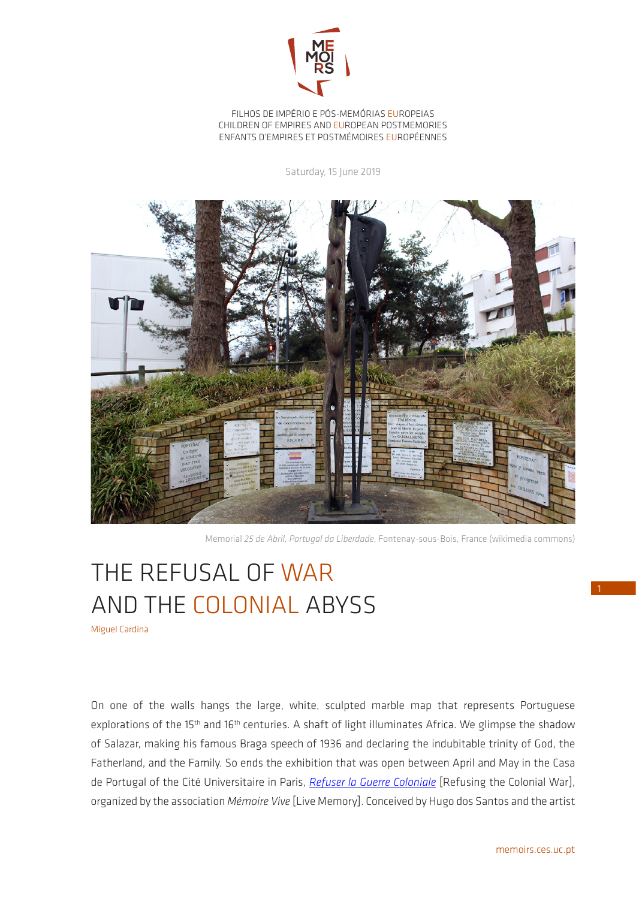

## FILHOS DE IMPÉRIO E PÓS-MEMÓRIAS EUROPEIAS CHILDREN OF EMPIRES AND EUROPEAN POSTMEMORIES ENFANTS D'EMPIRES ET POSTMÉMOIRES EUROPÉENNES

Saturday, 15 June 2019



Memorial *25 de Abril, Portugal da Liberdade*, Fontenay-sous-Bois, France (wikimedia commons)

## THE REFUSAL OF WAR AND THE COLONIAL ABYSS

Miguel Cardina

On one of the walls hangs the large, white, sculpted marble map that represents Portuguese explorations of the 15<sup>th</sup> and 16<sup>th</sup> centuries. A shaft of light illuminates Africa. We glimpse the shadow of Salazar, making his famous Braga speech of 1936 and declaring the indubitable trinity of God, the Fatherland, and the Family. So ends the exhibition that was open between April and May in the Casa de Portugal of the Cité Universitaire in Paris, *[Refuser la Guerre Coloniale](http://www.refuserlaguerrecoloniale.com/)* [Refusing the Colonial War], organized by the association *Mémoire Vive* [Live Memory]. Conceived by Hugo dos Santos and the artist 1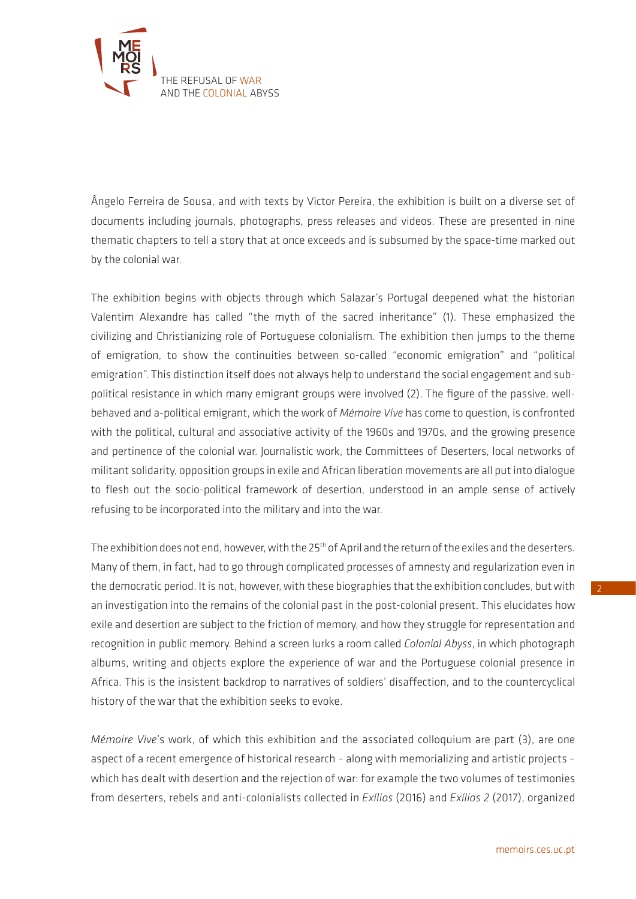

Ângelo Ferreira de Sousa, and with texts by Victor Pereira, the exhibition is built on a diverse set of documents including journals, photographs, press releases and videos. These are presented in nine thematic chapters to tell a story that at once exceeds and is subsumed by the space-time marked out by the colonial war.

The exhibition begins with objects through which Salazar's Portugal deepened what the historian Valentim Alexandre has called "the myth of the sacred inheritance" (1). These emphasized the civilizing and Christianizing role of Portuguese colonialism. The exhibition then jumps to the theme of emigration, to show the continuities between so-called "economic emigration" and "political emigration". This distinction itself does not always help to understand the social engagement and subpolitical resistance in which many emigrant groups were involved (2). The figure of the passive, wellbehaved and a-political emigrant, which the work of *Mémoire Vive* has come to question, is confronted with the political, cultural and associative activity of the 1960s and 1970s, and the growing presence and pertinence of the colonial war. Journalistic work, the Committees of Deserters, local networks of militant solidarity, opposition groups in exile and African liberation movements are all put into dialogue to flesh out the socio-political framework of desertion, understood in an ample sense of actively refusing to be incorporated into the military and into the war.

The exhibition does not end, however, with the 25<sup>th</sup> of April and the return of the exiles and the deserters. Many of them, in fact, had to go through complicated processes of amnesty and regularization even in the democratic period. It is not, however, with these biographies that the exhibition concludes, but with an investigation into the remains of the colonial past in the post-colonial present. This elucidates how exile and desertion are subject to the friction of memory, and how they struggle for representation and recognition in public memory. Behind a screen lurks a room called *Colonial Abyss*, in which photograph albums, writing and objects explore the experience of war and the Portuguese colonial presence in Africa. This is the insistent backdrop to narratives of soldiers' disaffection, and to the countercyclical history of the war that the exhibition seeks to evoke.

*Mémoire Vive*'s work, of which this exhibition and the associated colloquium are part (3), are one aspect of a recent emergence of historical research – along with memorializing and artistic projects – which has dealt with desertion and the rejection of war: for example the two volumes of testimonies from deserters, rebels and anti-colonialists collected in *Exílios* (2016) and *Exílios 2* (2017), organized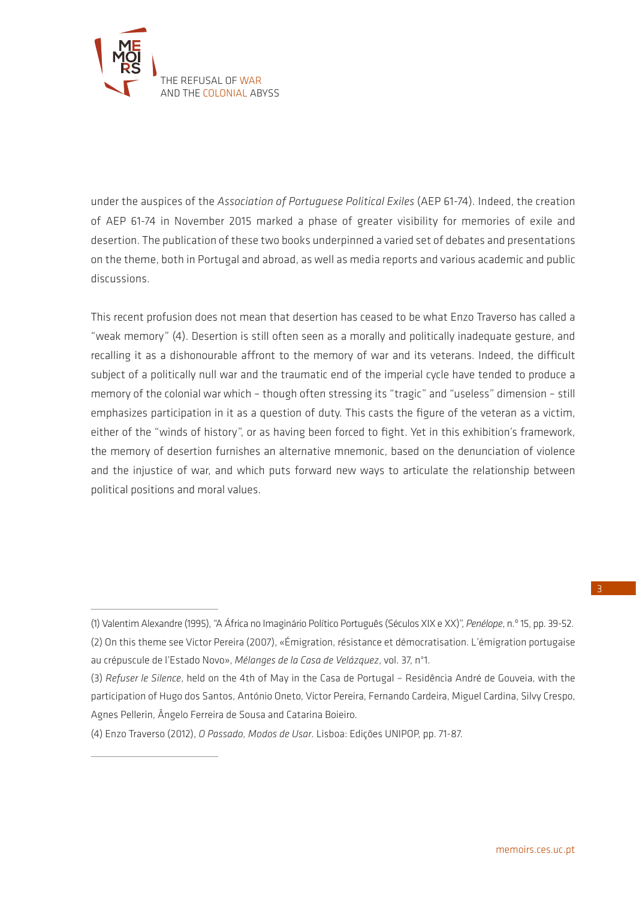

\_\_\_\_\_\_\_\_\_\_\_\_\_\_\_\_\_\_\_\_\_\_\_\_\_

\_\_\_\_\_\_\_\_\_\_\_\_\_\_\_\_\_\_\_\_\_\_\_\_\_

under the auspices of the *Association of Portuguese Political Exiles* (AEP 61-74). Indeed, the creation of AEP 61-74 in November 2015 marked a phase of greater visibility for memories of exile and desertion. The publication of these two books underpinned a varied set of debates and presentations on the theme, both in Portugal and abroad, as well as media reports and various academic and public discussions.

This recent profusion does not mean that desertion has ceased to be what Enzo Traverso has called a "weak memory" (4). Desertion is still often seen as a morally and politically inadequate gesture, and recalling it as a dishonourable affront to the memory of war and its veterans. Indeed, the difficult subject of a politically null war and the traumatic end of the imperial cycle have tended to produce a memory of the colonial war which – though often stressing its "tragic" and "useless" dimension – still emphasizes participation in it as a question of duty. This casts the figure of the veteran as a victim, either of the "winds of history", or as having been forced to fight. Yet in this exhibition's framework, the memory of desertion furnishes an alternative mnemonic, based on the denunciation of violence and the injustice of war, and which puts forward new ways to articulate the relationship between political positions and moral values.

<sup>(1)</sup> Valentim Alexandre (1995), "A África no Imaginário Político Português (Séculos XIX e XX)", *Penélope*, n.º 15, pp. 39-52. (2) On this theme see Victor Pereira (2007), «Émigration, résistance et démocratisation. L'émigration portugaise au crépuscule de l'Estado Novo», *Mélanges de la Casa de Velázquez*, vol. 37, n°1.

<sup>(3)</sup> *Refuser le Silence*, held on the 4th of May in the Casa de Portugal – Residência André de Gouveia, with the participation of Hugo dos Santos, António Oneto, Victor Pereira, Fernando Cardeira, Miguel Cardina, Silvy Crespo, Agnes Pellerin, Ângelo Ferreira de Sousa and Catarina Boieiro.

<sup>(4)</sup> Enzo Traverso (2012), *O Passado, Modos de Usar*. Lisboa: Edições UNIPOP, pp. 71-87.